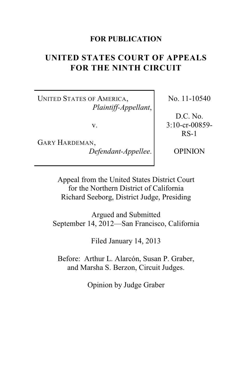# **FOR PUBLICATION**

# **UNITED STATES COURT OF APPEALS FOR THE NINTH CIRCUIT**

UNITED STATES OF AMERICA, *Plaintiff-Appellant*,

v.

GARY HARDEMAN, *Defendant-Appellee*. No. 11-10540

D.C. No. 3:10-cr-00859- RS-1

OPINION

Appeal from the United States District Court for the Northern District of California Richard Seeborg, District Judge, Presiding

Argued and Submitted September 14, 2012—San Francisco, California

Filed January 14, 2013

Before: Arthur L. Alarcón, Susan P. Graber, and Marsha S. Berzon, Circuit Judges.

Opinion by Judge Graber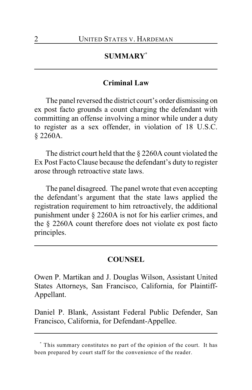# **SUMMARY \***

## **Criminal Law**

The panel reversed the district court's order dismissing on ex post facto grounds a count charging the defendant with committing an offense involving a minor while under a duty to register as a sex offender, in violation of 18 U.S.C. § 2260A.

The district court held that the § 2260A count violated the Ex Post Facto Clause because the defendant's duty to register arose through retroactive state laws.

The panel disagreed. The panel wrote that even accepting the defendant's argument that the state laws applied the registration requirement to him retroactively, the additional punishment under § 2260A is not for his earlier crimes, and the § 2260A count therefore does not violate ex post facto principles.

#### **COUNSEL**

Owen P. Martikan and J. Douglas Wilson, Assistant United States Attorneys, San Francisco, California, for Plaintiff-Appellant.

Daniel P. Blank, Assistant Federal Public Defender, San Francisco, California, for Defendant-Appellee.

This summary constitutes no part of the opinion of the court. It has **\*** been prepared by court staff for the convenience of the reader.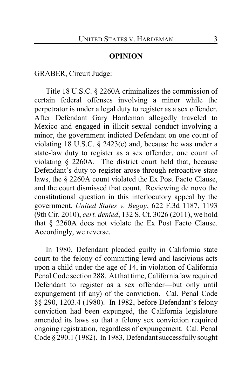### **OPINION**

GRABER, Circuit Judge:

Title 18 U.S.C. § 2260A criminalizes the commission of certain federal offenses involving a minor while the perpetrator is under a legal duty to register as a sex offender. After Defendant Gary Hardeman allegedly traveled to Mexico and engaged in illicit sexual conduct involving a minor, the government indicted Defendant on one count of violating 18 U.S.C. § 2423(c) and, because he was under a state-law duty to register as a sex offender, one count of violating § 2260A. The district court held that, because Defendant's duty to register arose through retroactive state laws, the § 2260A count violated the Ex Post Facto Clause, and the court dismissed that count. Reviewing de novo the constitutional question in this interlocutory appeal by the government, *United States v. Begay*, 622 F.3d 1187, 1193 (9th Cir. 2010), *cert. denied*, 132 S. Ct. 3026 (2011), we hold that § 2260A does not violate the Ex Post Facto Clause. Accordingly, we reverse.

In 1980, Defendant pleaded guilty in California state court to the felony of committing lewd and lascivious acts upon a child under the age of 14, in violation of California Penal Code section 288. At that time, California law required Defendant to register as a sex offender—but only until expungement (if any) of the conviction. Cal. Penal Code §§ 290, 1203.4 (1980). In 1982, before Defendant's felony conviction had been expunged, the California legislature amended its laws so that a felony sex conviction required ongoing registration, regardless of expungement. Cal. Penal Code § 290.1 (1982). In 1983, Defendant successfully sought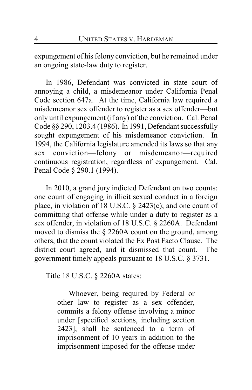expungement of his felony conviction, but he remained under an ongoing state-law duty to register.

In 1986, Defendant was convicted in state court of annoying a child, a misdemeanor under California Penal Code section 647a. At the time, California law required a misdemeanor sex offender to register as a sex offender—but only until expungement (if any) of the conviction. Cal. Penal Code §§ 290, 1203.4 (1986). In 1991, Defendant successfully sought expungement of his misdemeanor conviction. In 1994, the California legislature amended its laws so that any sex conviction—felony or misdemeanor—required continuous registration, regardless of expungement. Cal. Penal Code § 290.1 (1994).

In 2010, a grand jury indicted Defendant on two counts: one count of engaging in illicit sexual conduct in a foreign place, in violation of 18 U.S.C. § 2423(c); and one count of committing that offense while under a duty to register as a sex offender, in violation of 18 U.S.C. § 2260A. Defendant moved to dismiss the § 2260A count on the ground, among others, that the count violated the Ex Post Facto Clause. The district court agreed, and it dismissed that count. The government timely appeals pursuant to 18 U.S.C. § 3731.

Title 18 U.S.C. § 2260A states:

Whoever, being required by Federal or other law to register as a sex offender, commits a felony offense involving a minor under [specified sections, including section 2423], shall be sentenced to a term of imprisonment of 10 years in addition to the imprisonment imposed for the offense under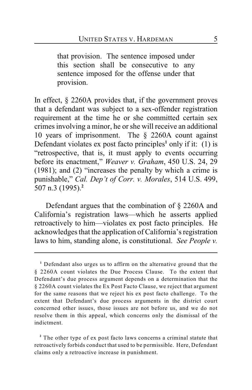that provision. The sentence imposed under this section shall be consecutive to any sentence imposed for the offense under that provision.

In effect, § 2260A provides that, if the government proves that a defendant was subject to a sex-offender registration requirement at the time he or she committed certain sex crimes involving a minor, he or she will receive an additional 10 years of imprisonment. The § 2260A count against Defendant violates ex post facto principles<sup>1</sup> only if it: (1) is "retrospective, that is, it must apply to events occurring before its enactment," *Weaver v. Graham*, 450 U.S. 24, 29 (1981); and (2) "increases the penalty by which a crime is punishable," *Cal. Dep't of Corr. v. Morales*, 514 U.S. 499, 507 n.3 (1995).**<sup>2</sup>**

Defendant argues that the combination of § 2260A and California's registration laws—which he asserts applied retroactively to him—violates ex post facto principles. He acknowledges that the application of California's registration laws to him, standing alone, is constitutional. *See People v.*

<sup>&</sup>lt;sup>1</sup> Defendant also urges us to affirm on the alternative ground that the § 2260A count violates the Due Process Clause. To the extent that Defendant's due process argument depends on a determination that the § 2260A count violates the Ex Post Facto Clause, we reject that argument for the same reasons that we reject his ex post facto challenge. To the extent that Defendant's due process arguments in the district court concerned other issues, those issues are not before us, and we do not resolve them in this appeal, which concerns only the dismissal of the indictment.

<sup>&</sup>lt;sup>2</sup> The other type of ex post facto laws concerns a criminal statute that retroactively forbids conduct that used to be permissible. Here, Defendant claims only a retroactive increase in punishment.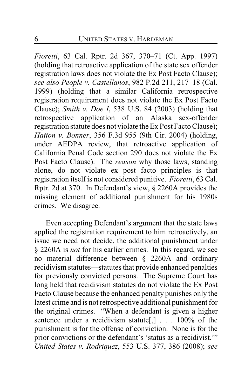*Fioretti*, 63 Cal. Rptr. 2d 367, 370–71 (Ct. App. 1997) (holding that retroactive application of the state sex offender registration laws does not violate the Ex Post Facto Clause); *see also People v. Castellanos*, 982 P.2d 211, 217–18 (Cal. 1999) (holding that a similar California retrospective registration requirement does not violate the Ex Post Facto Clause); *Smith v. Doe I*, 538 U.S. 84 (2003) (holding that retrospective application of an Alaska sex-offender registration statute does not violate the Ex Post Facto Clause); *Hatton v. Bonner*, 356 F.3d 955 (9th Cir. 2004) (holding, under AEDPA review, that retroactive application of California Penal Code section 290 does not violate the Ex Post Facto Clause). The *reason* why those laws, standing alone, do not violate ex post facto principles is that registration itself is not considered punitive. *Fioretti*, 63 Cal. Rptr. 2d at 370. In Defendant's view, § 2260A provides the missing element of additional punishment for his 1980s crimes. We disagree.

Even accepting Defendant's argument that the state laws applied the registration requirement to him retroactively, an issue we need not decide, the additional punishment under § 2260A is *not* for his earlier crimes. In this regard, we see no material difference between § 2260A and ordinary recidivism statutes—statutes that provide enhanced penalties for previously convicted persons. The Supreme Court has long held that recidivism statutes do not violate the Ex Post Facto Clause because the enhanced penalty punishes only the latest crime and is not retrospective additional punishment for the original crimes. "When a defendant is given a higher sentence under a recidivism statute<sup>[1]</sup> . . . 100% of the punishment is for the offense of conviction. None is for the prior convictions or the defendant's 'status as a recidivist.'" *United States v. Rodriquez*, 553 U.S. 377, 386 (2008); *see*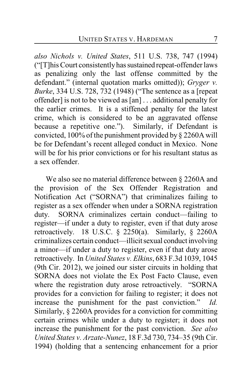*also Nichols v. United States*, 511 U.S. 738, 747 (1994) ("[T]his Court consistently has sustained repeat-offender laws as penalizing only the last offense committed by the defendant." (internal quotation marks omitted)); *Gryger v. Burke*, 334 U.S. 728, 732 (1948) ("The sentence as a [repeat offender] is not to be viewed as [an] . . . additional penalty for the earlier crimes. It is a stiffened penalty for the latest crime, which is considered to be an aggravated offense because a repetitive one."). Similarly, if Defendant is convicted, 100% of the punishment provided by § 2260A will be for Defendant's recent alleged conduct in Mexico. None will be for his prior convictions or for his resultant status as a sex offender.

We also see no material difference between § 2260A and the provision of the Sex Offender Registration and Notification Act ("SORNA") that criminalizes failing to register as a sex offender when under a SORNA registration duty. SORNA criminalizes certain conduct—failing to register—if under a duty to register, even if that duty arose retroactively. 18 U.S.C. § 2250(a). Similarly, § 2260A criminalizes certain conduct—illicit sexual conduct involving a minor—if under a duty to register, even if that duty arose retroactively. In *United States v. Elkins*, 683 F.3d 1039, 1045 (9th Cir. 2012), we joined our sister circuits in holding that SORNA does not violate the Ex Post Facto Clause, even where the registration duty arose retroactively. "SORNA provides for a conviction for failing to register; it does not increase the punishment for the past conviction." *Id.* Similarly, § 2260A provides for a conviction for committing certain crimes while under a duty to register; it does not increase the punishment for the past conviction. *See also United States v. Arzate-Nunez*, 18 F.3d 730, 734–35 (9th Cir. 1994) (holding that a sentencing enhancement for a prior